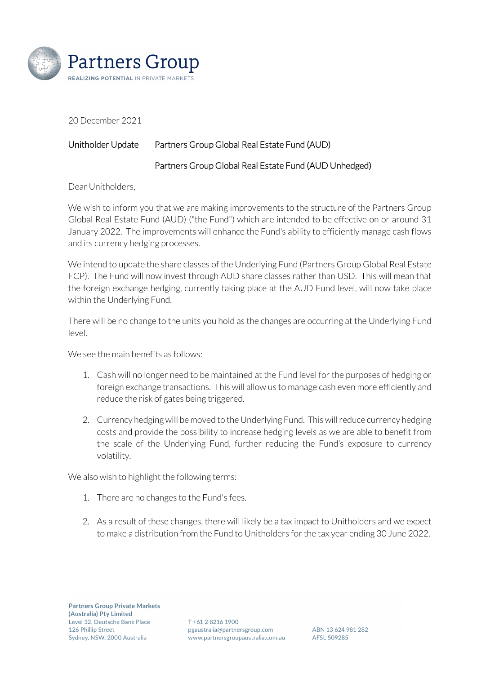

20 December 2021

## Unitholder Update Partners Group Global Real Estate Fund (AUD)

## Partners Group Global Real Estate Fund (AUD Unhedged)

Dear Unitholders,

We wish to inform you that we are making improvements to the structure of the Partners Group Global Real Estate Fund (AUD) ("the Fund") which are intended to be effective on or around 31 January 2022. The improvements will enhance the Fund's ability to efficiently manage cash flows and its currency hedging processes.

We intend to update the share classes of the Underlying Fund (Partners Group Global Real Estate FCP). The Fund will now invest through AUD share classes rather than USD. This will mean that the foreign exchange hedging, currently taking place at the AUD Fund level, will now take place within the Underlying Fund.

There will be no change to the units you hold as the changes are occurring at the Underlying Fund level.

We see the main benefits as follows:

- 1. Cash will no longer need to be maintained at the Fund level for the purposes of hedging or foreign exchange transactions. This will allow us to manage cash even more efficiently and reduce the risk of gates being triggered.
- 2. Currency hedging will be moved to the Underlying Fund. This will reduce currency hedging costs and provide the possibility to increase hedging levels as we are able to benefit from the scale of the Underlying Fund, further reducing the Fund's exposure to currency volatility.

We also wish to highlight the following terms:

- 1. There are no changes to the Fund's fees.
- 2. As a result of these changes, there will likely be a tax impact to Unitholders and we expect to make a distribution from the Fund to Unitholders for the tax year ending 30 June 2022.